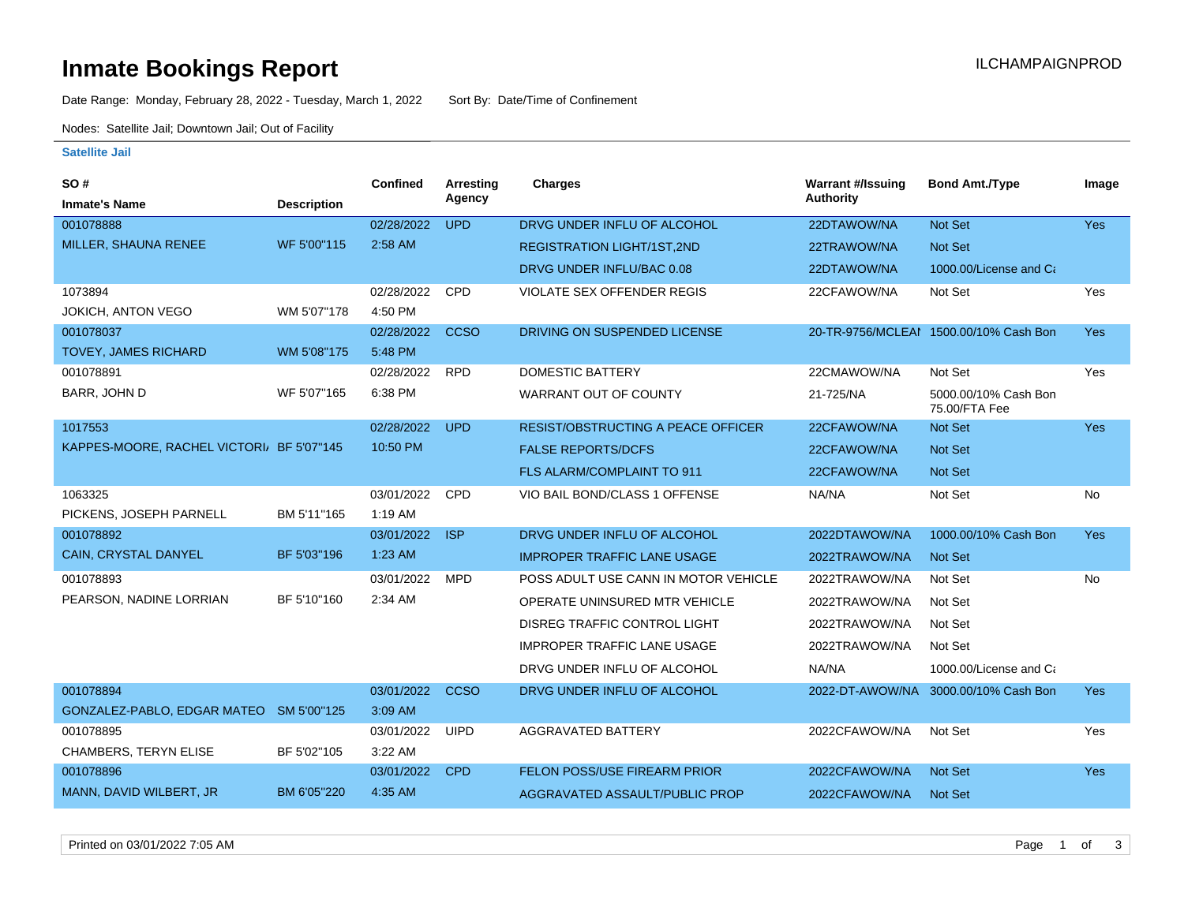# **Inmate Bookings Report Installation Control Control Control Control Control Control Control Control Control Control Control Control Control Control Control Control Control Control Control Control Control Control Control**

Date Range: Monday, February 28, 2022 - Tuesday, March 1, 2022 Sort By: Date/Time of Confinement

Nodes: Satellite Jail; Downtown Jail; Out of Facility

#### **Satellite Jail**

| <b>SO#</b>                               |                    | <b>Confined</b> | Arresting   | <b>Charges</b>                            | <b>Warrant #/Issuing</b> | <b>Bond Amt./Type</b>                  | Image      |
|------------------------------------------|--------------------|-----------------|-------------|-------------------------------------------|--------------------------|----------------------------------------|------------|
| <b>Inmate's Name</b>                     | <b>Description</b> |                 | Agency      |                                           | <b>Authority</b>         |                                        |            |
| 001078888                                |                    | 02/28/2022      | <b>UPD</b>  | DRVG UNDER INFLU OF ALCOHOL               | 22DTAWOW/NA              | Not Set                                | <b>Yes</b> |
| MILLER, SHAUNA RENEE                     | WF 5'00"115        | 2:58 AM         |             | <b>REGISTRATION LIGHT/1ST,2ND</b>         | 22TRAWOW/NA              | Not Set                                |            |
|                                          |                    |                 |             | DRVG UNDER INFLU/BAC 0.08                 | 22DTAWOW/NA              | 1000.00/License and Ca                 |            |
| 1073894                                  |                    | 02/28/2022      | CPD         | <b>VIOLATE SEX OFFENDER REGIS</b>         | 22CFAWOW/NA              | Not Set                                | Yes        |
| JOKICH, ANTON VEGO                       | WM 5'07"178        | 4:50 PM         |             |                                           |                          |                                        |            |
| 001078037                                |                    | 02/28/2022      | <b>CCSO</b> | DRIVING ON SUSPENDED LICENSE              |                          | 20-TR-9756/MCLEAM 1500.00/10% Cash Bon | Yes        |
| <b>TOVEY, JAMES RICHARD</b>              | WM 5'08"175        | 5:48 PM         |             |                                           |                          |                                        |            |
| 001078891                                |                    | 02/28/2022      | <b>RPD</b>  | DOMESTIC BATTERY                          | 22CMAWOW/NA              | Not Set                                | Yes        |
| BARR, JOHN D                             | WF 5'07"165        | 6:38 PM         |             | WARRANT OUT OF COUNTY                     | 21-725/NA                | 5000.00/10% Cash Bon<br>75.00/FTA Fee  |            |
| 1017553                                  |                    | 02/28/2022      | <b>UPD</b>  | <b>RESIST/OBSTRUCTING A PEACE OFFICER</b> | 22CFAWOW/NA              | Not Set                                | Yes        |
| KAPPES-MOORE, RACHEL VICTORI BF 5'07"145 |                    | 10:50 PM        |             | <b>FALSE REPORTS/DCFS</b>                 | 22CFAWOW/NA              | Not Set                                |            |
|                                          |                    |                 |             | <b>FLS ALARM/COMPLAINT TO 911</b>         | 22CFAWOW/NA              | <b>Not Set</b>                         |            |
| 1063325                                  |                    | 03/01/2022      | CPD         | VIO BAIL BOND/CLASS 1 OFFENSE             | NA/NA                    | Not Set                                | <b>No</b>  |
| PICKENS, JOSEPH PARNELL                  | BM 5'11"165        | 1:19 AM         |             |                                           |                          |                                        |            |
| 001078892                                |                    | 03/01/2022      | <b>ISP</b>  | DRVG UNDER INFLU OF ALCOHOL               | 2022DTAWOW/NA            | 1000.00/10% Cash Bon                   | Yes        |
| CAIN, CRYSTAL DANYEL                     | BF 5'03"196        | 1:23 AM         |             | <b>IMPROPER TRAFFIC LANE USAGE</b>        | 2022TRAWOW/NA            | <b>Not Set</b>                         |            |
| 001078893                                |                    | 03/01/2022      | <b>MPD</b>  | POSS ADULT USE CANN IN MOTOR VEHICLE      | 2022TRAWOW/NA            | Not Set                                | <b>No</b>  |
| PEARSON, NADINE LORRIAN                  | BF 5'10"160        | 2:34 AM         |             | OPERATE UNINSURED MTR VEHICLE             | 2022TRAWOW/NA            | Not Set                                |            |
|                                          |                    |                 |             | <b>DISREG TRAFFIC CONTROL LIGHT</b>       | 2022TRAWOW/NA            | Not Set                                |            |
|                                          |                    |                 |             | <b>IMPROPER TRAFFIC LANE USAGE</b>        | 2022TRAWOW/NA            | Not Set                                |            |
|                                          |                    |                 |             | DRVG UNDER INFLU OF ALCOHOL               | NA/NA                    | 1000.00/License and Ca                 |            |
| 001078894                                |                    | 03/01/2022      | <b>CCSO</b> | DRVG UNDER INFLU OF ALCOHOL               | 2022-DT-AWOW/NA          | 3000.00/10% Cash Bon                   | <b>Yes</b> |
| GONZALEZ-PABLO, EDGAR MATEO SM 5'00"125  |                    | 3:09 AM         |             |                                           |                          |                                        |            |
| 001078895                                |                    | 03/01/2022      | <b>UIPD</b> | <b>AGGRAVATED BATTERY</b>                 | 2022CFAWOW/NA            | Not Set                                | Yes        |
| <b>CHAMBERS, TERYN ELISE</b>             | BF 5'02"105        | 3:22 AM         |             |                                           |                          |                                        |            |
| 001078896                                |                    | 03/01/2022      | <b>CPD</b>  | FELON POSS/USE FIREARM PRIOR              | 2022CFAWOW/NA            | Not Set                                | Yes        |
| MANN, DAVID WILBERT, JR                  | BM 6'05"220        | 4:35 AM         |             | AGGRAVATED ASSAULT/PUBLIC PROP            | 2022CFAWOW/NA            | <b>Not Set</b>                         |            |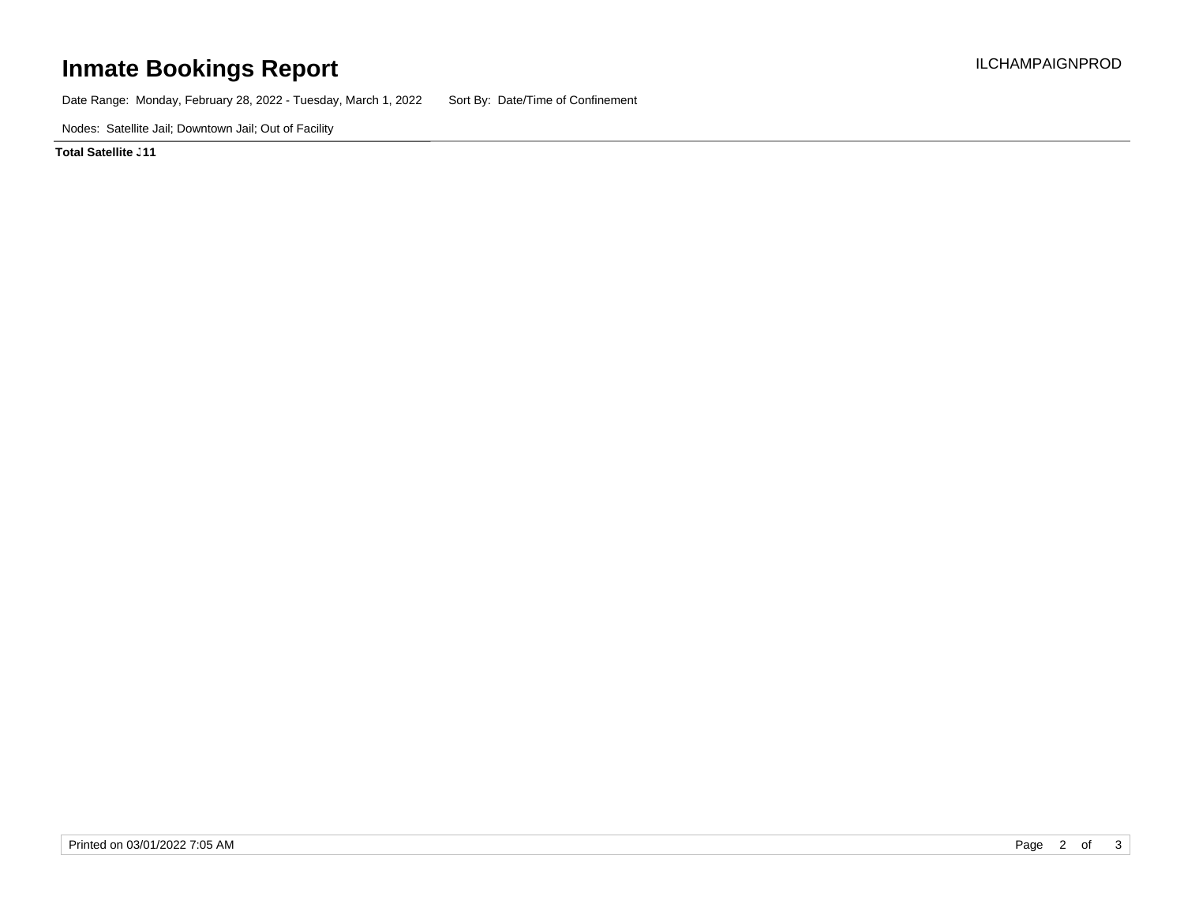## **Inmate Bookings Report International Contract Contract Contract Contract Contract Contract Contract Contract Contract Contract Contract Contract Contract Contract Contract Contract Contract Contract Contract Contract Co**

Date Range: Monday, February 28, 2022 - Tuesday, March 1, 2022 Sort By: Date/Time of Confinement

Nodes: Satellite Jail; Downtown Jail; Out of Facility

**Total Satellite . 11**